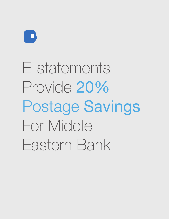

E-statements Provide 20% Postage Savings For Middle Eastern Bank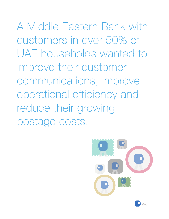A Middle Eastern Bank with customers in over 50% of UAE households wanted to improve their customer communications, improve operational efficiency and reduce their growing postage costs.



CASE STUDY